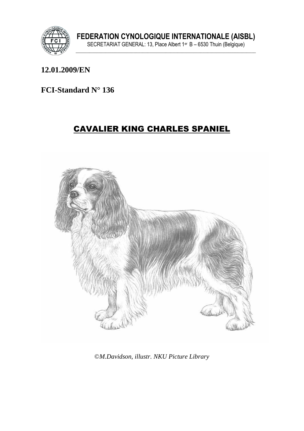

## **12.01.2009/EN**

## **FCI-Standard N° 136**

# CAVALIER KING CHARLES SPANIEL



©*M.Davidson, illustr. NKU Picture Library*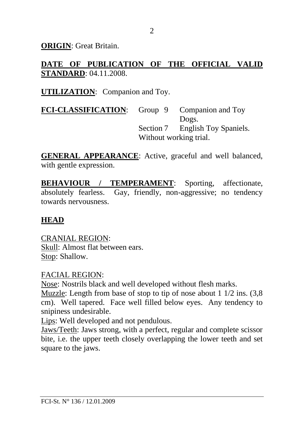**ORIGIN**: Great Britain.

# **DATE OF PUBLICATION OF THE OFFICIAL VALID STANDARD**: 04.11.2008.

### **UTILIZATION**: Companion and Toy.

**FCI-CLASSIFICATION**: Group 9 Companion and Toy Dogs. Section 7 English Toy Spaniels. Without working trial.

**GENERAL APPEARANCE**: Active, graceful and well balanced, with gentle expression.

**BEHAVIOUR / TEMPERAMENT:** Sporting, affectionate, absolutely fearless. Gay, friendly, non-aggressive; no tendency towards nervousness.

### **HEAD**

CRANIAL REGION: Skull: Almost flat between ears. Stop: Shallow.

#### FACIAL REGION:

Nose: Nostrils black and well developed without flesh marks.

Muzzle: Length from base of stop to tip of nose about 1 1/2 ins. (3,8 cm). Well tapered. Face well filled below eyes. Any tendency to snipiness undesirable.

Lips: Well developed and not pendulous.

Jaws/Teeth: Jaws strong, with a perfect, regular and complete scissor bite, i.e. the upper teeth closely overlapping the lower teeth and set square to the jaws.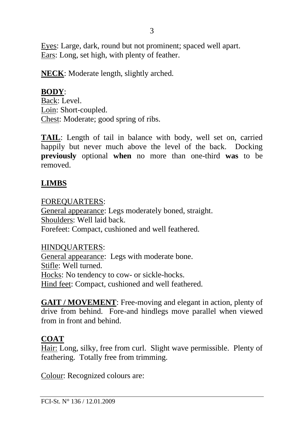Eyes: Large, dark, round but not prominent; spaced well apart. Ears: Long, set high, with plenty of feather.

**NECK**: Moderate length, slightly arched.

# **BODY**:

Back: Level. Loin: Short-coupled. Chest: Moderate; good spring of ribs.

**TAIL**: Length of tail in balance with body, well set on, carried happily but never much above the level of the back. Docking **previously** optional **when** no more than one-third **was** to be removed.

# **LIMBS**

### FOREQUARTERS:

General appearance: Legs moderately boned, straight. Shoulders: Well laid back. Forefeet: Compact, cushioned and well feathered.

### HINDQUARTERS:

General appearance: Legs with moderate bone. Stifle: Well turned. Hocks: No tendency to cow- or sickle-hocks. Hind feet: Compact, cushioned and well feathered.

**GAIT / MOVEMENT**: Free-moving and elegant in action, plenty of drive from behind. Fore-and hindlegs move parallel when viewed from in front and behind.

# **COAT**

Hair: Long, silky, free from curl. Slight wave permissible. Plenty of feathering. Totally free from trimming.

Colour: Recognized colours are: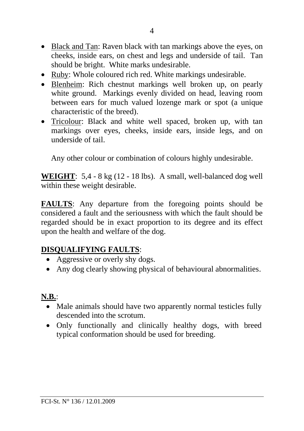- Black and Tan: Raven black with tan markings above the eyes, on cheeks, inside ears, on chest and legs and underside of tail. Tan should be bright. White marks undesirable.
- Ruby: Whole coloured rich red. White markings undesirable.
- Blenheim: Rich chestnut markings well broken up, on pearly white ground. Markings evenly divided on head, leaving room between ears for much valued lozenge mark or spot (a unique characteristic of the breed).
- Tricolour: Black and white well spaced, broken up, with tan markings over eyes, cheeks, inside ears, inside legs, and on underside of tail.

Any other colour or combination of colours highly undesirable.

**WEIGHT**: 5,4 - 8 kg (12 - 18 lbs). A small, well-balanced dog well within these weight desirable.

**FAULTS**: Any departure from the foregoing points should be considered a fault and the seriousness with which the fault should be regarded should be in exact proportion to its degree and its effect upon the health and welfare of the dog.

# **DISQUALIFYING FAULTS**:

- Aggressive or overly shy dogs.
- Any dog clearly showing physical of behavioural abnormalities.

# **N.B.**:

- Male animals should have two apparently normal testicles fully descended into the scrotum.
- Only functionally and clinically healthy dogs, with breed typical conformation should be used for breeding.